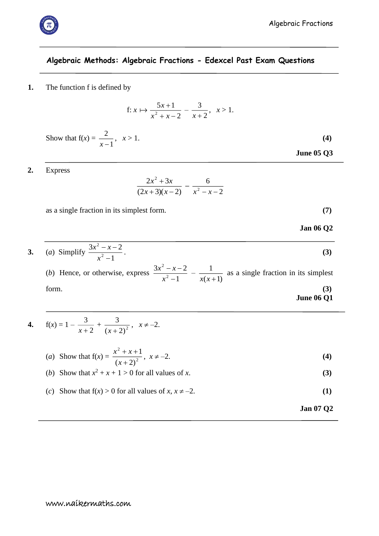# **Algebraic Methods: Algebraic Fractions - Edexcel Past Exam Questions**

**1.** The function f is defined by

f: 
$$
x \mapsto \frac{5x+1}{x^2+x-2} - \frac{3}{x+2}, \quad x > 1.
$$

Show that  $f(x) = \frac{2}{x-1}$ 2  $\frac{2}{x-1}$ ,  $x > 1$ . **(4)** 

**2.** Express

$$
\frac{2x^2+3x}{(2x+3)(x-2)}-\frac{6}{x^2-x-2}
$$

as a single fraction in its simplest form. **(7)**

**Jan 06 Q2**

 **June 05 Q3**

**3.** (*a*) Simplify 1  $3x^2 - x - 2$ 2 2 - $- x$ *x*  $x^2 - x$ . **(3)** (*b*) Hence, or otherwise, express  $\frac{3x-3}{x^2-1}$  $3x^2 - x - 2$ 2 2 Ξ  $-\lambda$   $$ *x*  $\frac{x-x-2}{2}$  $(x+1)$ 1  $\frac{1}{x(x+1)}$  as a single fraction in its simplest form. **(3)**

**June 06 Q1**

4. 
$$
f(x) = 1 - \frac{3}{x+2} + \frac{3}{(x+2)^2}, \quad x \neq -2.
$$

(a) Show that 
$$
f(x) = \frac{x^2 + x + 1}{(x + 2)^2}
$$
,  $x \neq -2$ . (4)

(b) Show that 
$$
x^2 + x + 1 > 0
$$
 for all values of x. (3)

- (*c*) Show that  $f(x) > 0$  for all values of  $x, x \neq -2$ . (1)
	- **Jan 07 Q2**

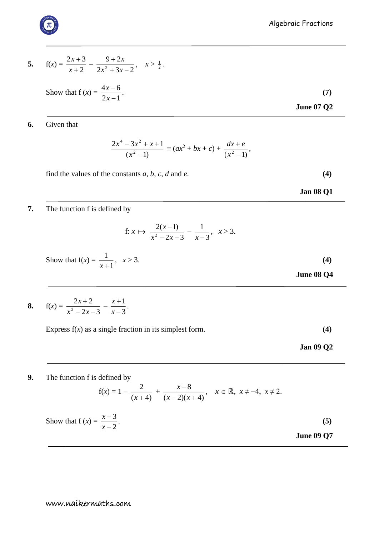5. 
$$
f(x) = \frac{2x+3}{x+2} - \frac{9+2x}{2x^2+3x-2}, \quad x > \frac{1}{2}.
$$

Show that 
$$
f(x) = \frac{4x - 6}{2x - 1}
$$
. (7)  
June 07 Q2

### **6.** Given that

$$
\frac{2x^4 - 3x^2 + x + 1}{(x^2 - 1)} \equiv (ax^2 + bx + c) + \frac{dx + e}{(x^2 - 1)},
$$

find the values of the constants  $a, b, c, d$  and  $e$ . **(4)** 

**Jan 08 Q1**

## **7.** The function f is defined by

f: 
$$
x \mapsto \frac{2(x-1)}{x^2 - 2x - 3} - \frac{1}{x-3}, \quad x > 3.
$$

Show that 
$$
f(x) = \frac{1}{x+1}
$$
,  $x > 3$ . (4)  
June 08 Q4

$$
8. \qquad f(x) = \frac{2x+2}{x^2-2x-3} - \frac{x+1}{x-3}.
$$

Express  $f(x)$  as a single fraction in its simplest form. **(4)** 

 **Jan 09 Q2**

#### **9.** The function f is defined by

$$
f(x) = 1 - \frac{2}{(x+4)} + \frac{x-8}{(x-2)(x+4)}, \quad x \in \mathbb{R}, \ x \neq -4, \ x \neq 2.
$$

Show that 
$$
f(x) = \frac{x-3}{x-2}
$$
. (5)  
June 09 Q7